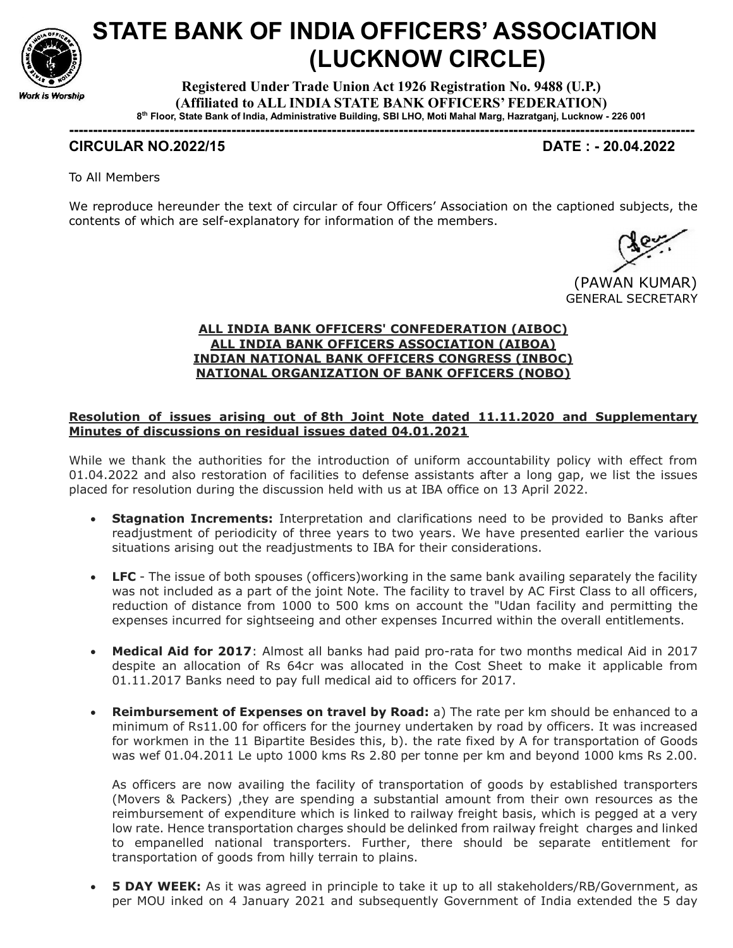

# STATE BANK OF INDIA OFFICERS' ASSOCIATION (LUCKNOW CIRCLE)

Registered Under Trade Union Act 1926 Registration No. 9488 (U.P.) (Affiliated to ALL INDIA STATE BANK OFFICERS' FEDERATION) 8 th Floor, State Bank of India, Administrative Building, SBI LHO, Moti Mahal Marg, Hazratganj, Lucknow - 226 001

-----------------------------------------------------------------------------------------------------------------------------------

# CIRCULAR NO.2022/15 DATE : - 20.04.2022

To All Members

We reproduce hereunder the text of circular of four Officers' Association on the captioned subjects, the contents of which are self-explanatory for information of the members.

 (PAWAN KUMAR) GENERAL SECRETARY

### ALL INDIA BANK OFFICERS' CONFEDERATION (AIBOC) ALL INDIA BANK OFFICERS ASSOCIATION (AIBOA) INDIAN NATIONAL BANK OFFICERS CONGRESS (INBOC) NATIONAL ORGANIZATION OF BANK OFFICERS (NOBO)

## Resolution of issues arising out of 8th Joint Note dated 11.11.2020 and Supplementary Minutes of discussions on residual issues dated 04.01.2021

While we thank the authorities for the introduction of uniform accountability policy with effect from 01.04.2022 and also restoration of facilities to defense assistants after a long gap, we list the issues placed for resolution during the discussion held with us at IBA office on 13 April 2022.

- **Stagnation Increments:** Interpretation and clarifications need to be provided to Banks after readjustment of periodicity of three years to two years. We have presented earlier the various situations arising out the readjustments to IBA for their considerations.
- LFC The issue of both spouses (officers) working in the same bank availing separately the facility was not included as a part of the joint Note. The facility to travel by AC First Class to all officers, reduction of distance from 1000 to 500 kms on account the "Udan facility and permitting the expenses incurred for sightseeing and other expenses Incurred within the overall entitlements.
- Medical Aid for 2017: Almost all banks had paid pro-rata for two months medical Aid in 2017 despite an allocation of Rs 64cr was allocated in the Cost Sheet to make it applicable from 01.11.2017 Banks need to pay full medical aid to officers for 2017.
- Reimbursement of Expenses on travel by Road: a) The rate per km should be enhanced to a minimum of Rs11.00 for officers for the journey undertaken by road by officers. It was increased for workmen in the 11 Bipartite Besides this, b). the rate fixed by A for transportation of Goods was wef 01.04.2011 Le upto 1000 kms Rs 2.80 per tonne per km and beyond 1000 kms Rs 2.00.

As officers are now availing the facility of transportation of goods by established transporters (Movers & Packers) ,they are spending a substantial amount from their own resources as the reimbursement of expenditure which is linked to railway freight basis, which is pegged at a very low rate. Hence transportation charges should be delinked from railway freight charges and linked to empanelled national transporters. Further, there should be separate entitlement for transportation of goods from hilly terrain to plains.

• 5 DAY WEEK: As it was agreed in principle to take it up to all stakeholders/RB/Government, as per MOU inked on 4 January 2021 and subsequently Government of India extended the 5 day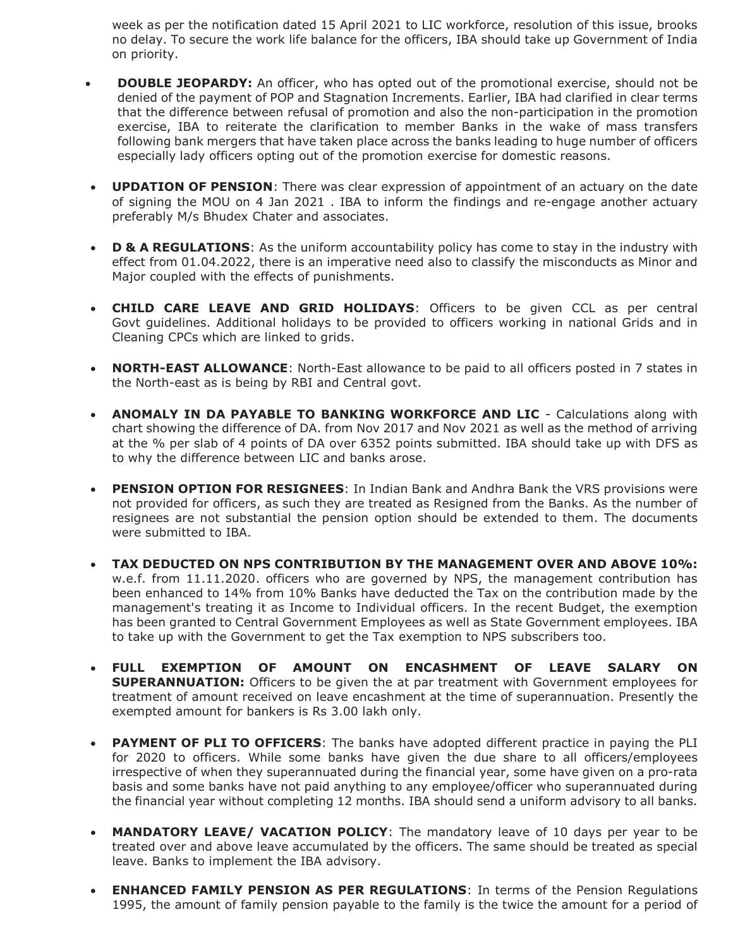week as per the notification dated 15 April 2021 to LIC workforce, resolution of this issue, brooks no delay. To secure the work life balance for the officers, IBA should take up Government of India on priority.

- **DOUBLE JEOPARDY:** An officer, who has opted out of the promotional exercise, should not be denied of the payment of POP and Stagnation Increments. Earlier, IBA had clarified in clear terms that the difference between refusal of promotion and also the non-participation in the promotion exercise, IBA to reiterate the clarification to member Banks in the wake of mass transfers following bank mergers that have taken place across the banks leading to huge number of officers especially lady officers opting out of the promotion exercise for domestic reasons.
- **UPDATION OF PENSION**: There was clear expression of appointment of an actuary on the date of signing the MOU on 4 Jan 2021 . IBA to inform the findings and re-engage another actuary preferably M/s Bhudex Chater and associates.
- D & A REGULATIONS: As the uniform accountability policy has come to stay in the industry with effect from 01.04.2022, there is an imperative need also to classify the misconducts as Minor and Major coupled with the effects of punishments.
- CHILD CARE LEAVE AND GRID HOLIDAYS: Officers to be given CCL as per central Govt guidelines. Additional holidays to be provided to officers working in national Grids and in Cleaning CPCs which are linked to grids.
- NORTH-EAST ALLOWANCE: North-East allowance to be paid to all officers posted in 7 states in the North-east as is being by RBI and Central govt.
- ANOMALY IN DA PAYABLE TO BANKING WORKFORCE AND LIC Calculations along with chart showing the difference of DA. from Nov 2017 and Nov 2021 as well as the method of arriving at the % per slab of 4 points of DA over 6352 points submitted. IBA should take up with DFS as to why the difference between LIC and banks arose.
- PENSION OPTION FOR RESIGNEES: In Indian Bank and Andhra Bank the VRS provisions were not provided for officers, as such they are treated as Resigned from the Banks. As the number of resignees are not substantial the pension option should be extended to them. The documents were submitted to IBA.
- TAX DEDUCTED ON NPS CONTRIBUTION BY THE MANAGEMENT OVER AND ABOVE 10%: w.e.f. from 11.11.2020. officers who are governed by NPS, the management contribution has been enhanced to 14% from 10% Banks have deducted the Tax on the contribution made by the management's treating it as Income to Individual officers. In the recent Budget, the exemption has been granted to Central Government Employees as well as State Government employees. IBA to take up with the Government to get the Tax exemption to NPS subscribers too.
- FULL EXEMPTION OF AMOUNT ON ENCASHMENT OF LEAVE SALARY ON **SUPERANNUATION:** Officers to be given the at par treatment with Government employees for treatment of amount received on leave encashment at the time of superannuation. Presently the exempted amount for bankers is Rs 3.00 lakh only.
- PAYMENT OF PLI TO OFFICERS: The banks have adopted different practice in paying the PLI for 2020 to officers. While some banks have given the due share to all officers/employees irrespective of when they superannuated during the financial year, some have given on a pro-rata basis and some banks have not paid anything to any employee/officer who superannuated during the financial year without completing 12 months. IBA should send a uniform advisory to all banks.
- MANDATORY LEAVE/ VACATION POLICY: The mandatory leave of 10 days per year to be treated over and above leave accumulated by the officers. The same should be treated as special leave. Banks to implement the IBA advisory.
- **ENHANCED FAMILY PENSION AS PER REGULATIONS:** In terms of the Pension Regulations 1995, the amount of family pension payable to the family is the twice the amount for a period of